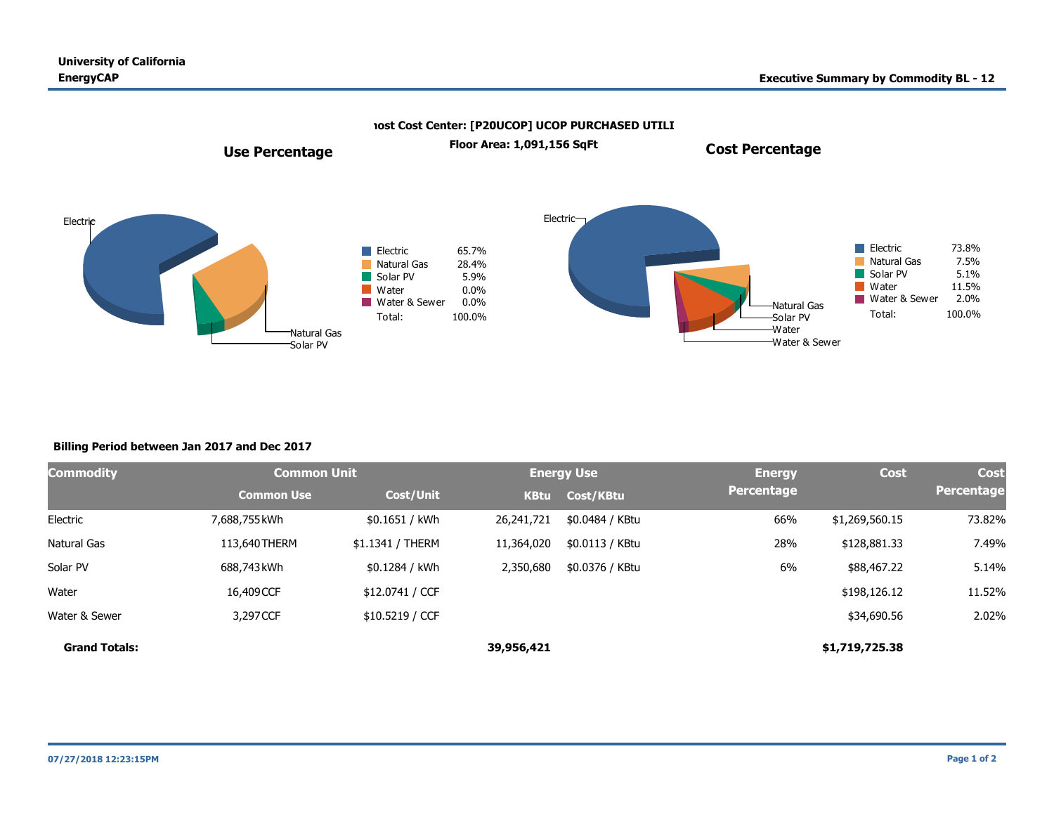

## **Billing Period between Jan 2017 and Dec 2017**

| Commodity            | <b>Common Unit</b> |                  | <b>Energy Use</b> |                 | <b>Energy</b> | <b>Cost</b>    | <b>Cost</b> |
|----------------------|--------------------|------------------|-------------------|-----------------|---------------|----------------|-------------|
|                      | <b>Common Use</b>  | Cost/Unit        | <b>KBtu</b>       | Cost/KBtu       | Percentage    |                | Percentage  |
| Electric             | 7,688,755 kWh      | \$0.1651 / kWh   | 26,241,721        | \$0.0484 / KBtu | 66%           | \$1,269,560.15 | 73.82%      |
| Natural Gas          | 113,640 THERM      | \$1.1341 / THERM | 11,364,020        | \$0.0113 / KBtu | 28%           | \$128,881.33   | 7.49%       |
| Solar PV             | 688,743 kWh        | \$0.1284 / kWh   | 2,350,680         | \$0.0376 / KBtu | 6%            | \$88,467.22    | 5.14%       |
| Water                | 16,409CCF          | \$12.0741 / CCF  |                   |                 |               | \$198,126.12   | 11.52%      |
| Water & Sewer        | 3,297 CCF          | \$10.5219 / CCF  |                   |                 |               | \$34,690.56    | 2.02%       |
| <b>Grand Totals:</b> |                    |                  | 39,956,421        |                 |               | \$1,719,725.38 |             |